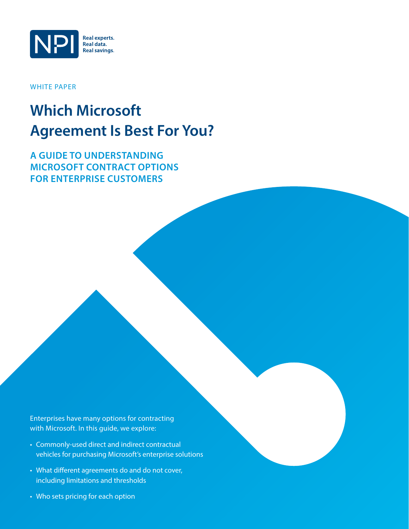

WHITE PAPER

# **Which Microsoft Agreement Is Best For You?**

**A Guide to Understanding Microsoft Contract Options FOR ENTERPRISE CUSTOMERS** 

Enterprises have many options for contracting with Microsoft. In this guide, we explore:

- • Commonly-used direct and indirect contractual vehicles for purchasing Microsoft's enterprise solutions
- What different agreements do and do not cover, including limitations and thresholds
- Who sets pricing for each option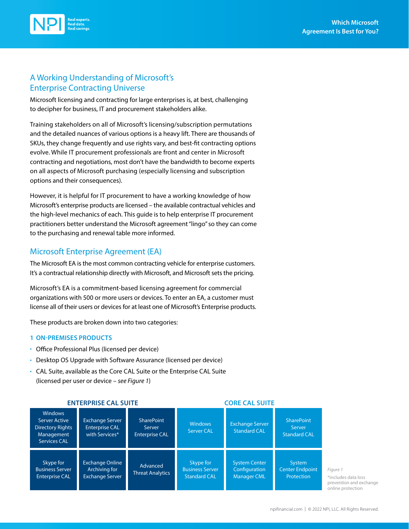

## A Working Understanding of Microsoft's Enterprise Contracting Universe

Microsoft licensing and contracting for large enterprises is, at best, challenging to decipher for business, IT and procurement stakeholders alike.

Training stakeholders on all of Microsoft's licensing/subscription permutations and the detailed nuances of various options is a heavy lift. There are thousands of SKUs, they change frequently and use rights vary, and best-fit contracting options evolve. While IT procurement professionals are front and center in Microsoft contracting and negotiations, most don't have the bandwidth to become experts on all aspects of Microsoft purchasing (especially licensing and subscription options and their consequences).

However, it is helpful for IT procurement to have a working knowledge of how Microsoft's enterprise products are licensed – the available contractual vehicles and the high-level mechanics of each. This guide is to help enterprise IT procurement practitioners better understand the Microsoft agreement "lingo" so they can come to the purchasing and renewal table more informed.

#### Microsoft Enterprise Agreement (EA)

The Microsoft EA is the most common contracting vehicle for enterprise customers. It's a contractual relationship directly with Microsoft, and Microsoft sets the pricing.

Microsoft's EA is a commitment-based licensing agreement for commercial organizations with 500 or more users or devices. To enter an EA, a customer must license all of their users or devices for at least one of Microsoft's Enterprise products.

These products are broken down into two categories:

#### **1 On-Premises Products**

- Office Professional Plus (licensed per device)
- Desktop OS Upgrade with Software Assurance (licensed per device)
- CAL Suite, available as the Core CAL Suite or the Enterprise CAL Suite (licensed per user or device – *see Figure 1*)

| <b>Windows</b><br>Server Active<br><b>Directory Rights</b><br>Management<br><b>Services CAL</b> | <b>Exchange Server</b><br><b>Enterprise CAL</b><br>with Services* | <b>SharePoint</b><br>Server<br><b>Enterprise CAL</b> | <b>Windows</b><br><b>Server CAL</b>                        | <b>Exchange Server</b><br><b>Standard CAL</b>               | <b>SharePoint</b><br>Server<br><b>Standard CAL</b> |  |
|-------------------------------------------------------------------------------------------------|-------------------------------------------------------------------|------------------------------------------------------|------------------------------------------------------------|-------------------------------------------------------------|----------------------------------------------------|--|
| Skype for<br><b>Business Server</b><br><b>Enterprise CAL</b>                                    | <b>Exchange Online</b><br>Archiving for<br><b>Exchange Server</b> | Advanced<br><b>Threat Analytics</b>                  | Skype for<br><b>Business Server</b><br><b>Standard CAL</b> | <b>System Center</b><br>Configuration<br><b>Manager CML</b> | System<br><b>Center Endpoint</b><br>Protection     |  |

#### **ENTERPRISE CAL SUITE CORE CAL SUITE**

*Figure 1* \*includes data loss prevention and exchange online protection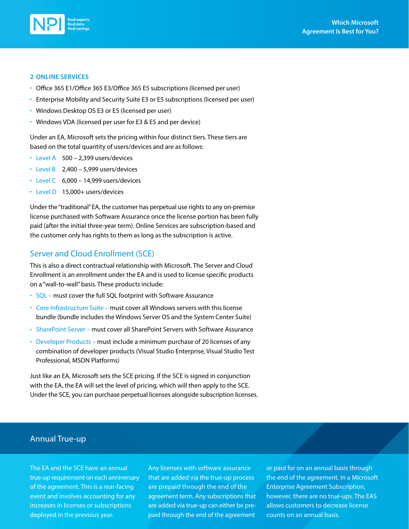

#### **2 Online Services**

- Office 365 E1/Office 365 E3/Office 365 E5 subscriptions (licensed per user)
- Enterprise Mobility and Security Suite E3 or E5 subscriptions (licensed per user)
- Windows Desktop OS E3 or E5 (licensed per user)
- Windows VDA (licensed per user for E3 & E5 and per device)

Under an EA, Microsoft sets the pricing within four distinct tiers. These tiers are based on the total quantity of users/devices and are as follows:

- Level A 500 2,399 users/devices
- $\cdot$  Level B 2,400 5,999 users/devices
- $\cdot$  Level C 6,000 14,999 users/devices
- Level D 15,000+ users/devices

Under the "traditional" EA, the customer has perpetual use rights to any on-premise license purchased with Software Assurance once the license portion has been fully paid (after the initial three-year term). Online Services are subscription-based and the customer only has rights to them as long as the subscription is active.

#### Server and Cloud Enrollment (SCE)

This is also a direct contractual relationship with Microsoft. The Server and Cloud Enrollment is an enrollment under the EA and is used to license specific products on a "wall-to-wall" basis. These products include:

- $\cdot$  SQL must cover the full SQL footprint with Software Assurance
- Core Infrastructure Suite must cover all Windows servers with this license bundle (bundle includes the Windows Server OS and the System Center Suite)
- SharePoint Server must cover all SharePoint Servers with Software Assurance
- Developer Products must include a minimum purchase of 20 licenses of any combination of developer products (Visual Studio Enterprise, Visual Studio Test Professional, MSDN Platforms)

Just like an EA, Microsoft sets the SCE pricing. If the SCE is signed in conjunction with the EA, the EA will set the level of pricing, which will then apply to the SCE. Under the SCE, you can purchase perpetual licenses alongside subscription licenses.

#### Annual True-up

The EA and the SCE have an annual true-up requirement on each anniversary of the agreement. This is a rear-facing event and involves accounting for any increases in licenses or subscriptions deployed in the previous year.

Any licenses with software assurance that are added via the true-up process are prepaid through the end of the agreement term. Any subscriptions that are added via true-up can either be prepaid through the end of the agreement

or paid for on an annual basis through the end of the agreement. In a Microsoft Enterprise Agreement Subscription, however, there are no true-ups. The EAS allows customers to decrease license counts on an annual basis.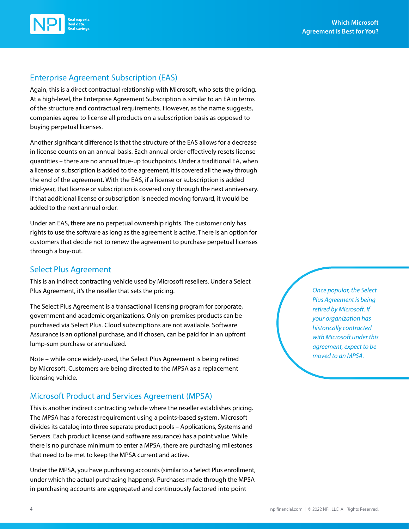



#### Enterprise Agreement Subscription (EAS)

Again, this is a direct contractual relationship with Microsoft, who sets the pricing. At a high-level, the Enterprise Agreement Subscription is similar to an EA in terms of the structure and contractual requirements. However, as the name suggests, companies agree to license all products on a subscription basis as opposed to buying perpetual licenses.

Another significant difference is that the structure of the EAS allows for a decrease in license counts on an annual basis. Each annual order effectively resets license quantities – there are no annual true-up touchpoints. Under a traditional EA, when a license or subscription is added to the agreement, it is covered all the way through the end of the agreement. With the EAS, if a license or subscription is added mid-year, that license or subscription is covered only through the next anniversary. If that additional license or subscription is needed moving forward, it would be added to the next annual order.

Under an EAS, there are no perpetual ownership rights. The customer only has rights to use the software as long as the agreement is active. There is an option for customers that decide not to renew the agreement to purchase perpetual licenses through a buy-out.

#### Select Plus Agreement

This is an indirect contracting vehicle used by Microsoft resellers. Under a Select Plus Agreement, it's the reseller that sets the pricing.

The Select Plus Agreement is a transactional licensing program for corporate, government and academic organizations. Only on-premises products can be purchased via Select Plus. Cloud subscriptions are not available. Software Assurance is an optional purchase, and if chosen, can be paid for in an upfront lump-sum purchase or annualized.

Note – while once widely-used, the Select Plus Agreement is being retired by Microsoft. Customers are being directed to the MPSA as a replacement licensing vehicle.

#### Microsoft Product and Services Agreement (MPSA)

This is another indirect contracting vehicle where the reseller establishes pricing. The MPSA has a forecast requirement using a points-based system. Microsoft divides its catalog into three separate product pools – Applications, Systems and Servers. Each product license (and software assurance) has a point value. While there is no purchase minimum to enter a MPSA, there are purchasing milestones that need to be met to keep the MPSA current and active.

Under the MPSA, you have purchasing accounts (similar to a Select Plus enrollment, under which the actual purchasing happens). Purchases made through the MPSA in purchasing accounts are aggregated and continuously factored into point

*Once popular, the Select Plus Agreement is being retired by Microsoft. If your organization has historically contracted with Microsoft under this agreement, expect to be moved to an MPSA.*